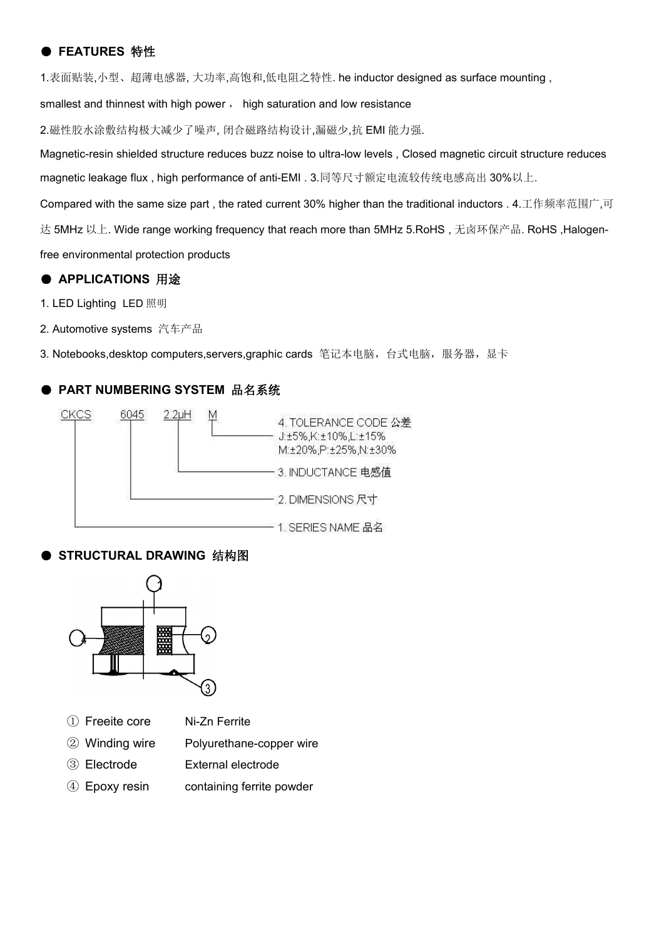### ● **FEATURES** 特性

1.表面贴装,小型、超薄电感器, 大功率,高饱和,低电阻之特性. he inductor designed as surface mounting ,

smallest and thinnest with high power, high saturation and low resistance

2.磁性胶水涂敷结构极大减少了噪声, 闭合磁路结构设计,漏磁少,抗 EMI 能力强.

Magnetic-resin shielded structure reduces buzz noise to ultra-low levels , Closed magnetic circuit structure reduces magnetic leakage flux , high performance of anti-EMI . 3.同等尺寸额定电流较传统电感高出 30%以上.

Compared with the same size part, the rated current 30% higher than the traditional inductors . 4.工作频率范围广,可

达 5MHz 以上. Wide range working frequency that reach more than 5MHz 5.RoHS, 无卤环保产品. RoHS, Halogen-

free environmental protection products

### ● **APPLICATIONS** 用途

1. LED Lighting LED 照明

2. Automotive systems 汽车产品

3. Notebooks,desktop computers,servers,graphic cards 笔记本电脑, 台式电脑, 服务器, 显卡

### ● **PART NUMBERING SYSTEM** 品名系统



### ● **STRUCTURAL DRAWING** 结构图



- ① Freeite core Ni-Zn Ferrite
- ② Winding wire Polyurethane-copper wire
- ③ Electrode External electrode
- ④ Epoxy resin containing ferrite powder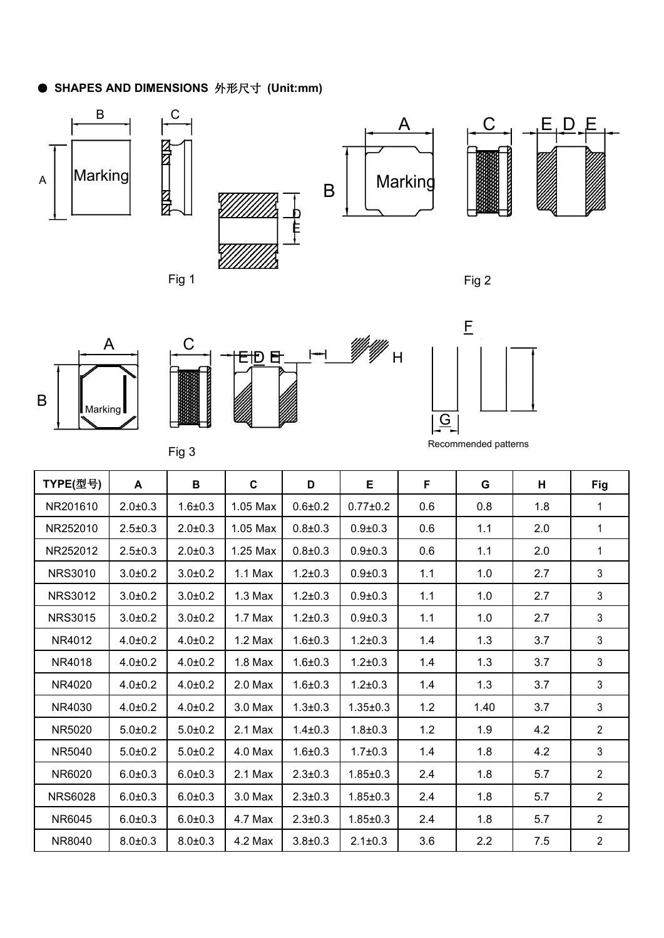# ● **SHAPES AND DIMENSIONS** 外形尺寸 **(Unit:mm)**

Fig 1









Fig 2







Recommended patterns

| TYPE(型号)       | A             | В             | $\mathbf{C}$ | D             | Е              | F   | G    | H   | Fig            |
|----------------|---------------|---------------|--------------|---------------|----------------|-----|------|-----|----------------|
| NR201610       | $2.0 + 0.3$   | $1.6 + 0.3$   | 1.05 Max     | $0.6 + 0.2$   | $0.77 \pm 0.2$ | 0.6 | 0.8  | 1.8 | $\mathbf{1}$   |
| NR252010       | $2.5 \pm 0.3$ | $2.0 + 0.3$   | 1.05 Max     | $0.8 + 0.3$   | $0.9 + 0.3$    | 0.6 | 1.1  | 2.0 | 1              |
| NR252012       | $2.5 \pm 0.3$ | $2.0 + 0.3$   | 1.25 Max     | $0.8 + 0.3$   | $0.9 + 0.3$    | 0.6 | 1.1  | 2.0 | $\mathbf{1}$   |
| <b>NRS3010</b> | $3.0 + 0.2$   | $3.0 + 0.2$   | $1.1$ Max    | $1.2 + 0.3$   | $0.9 + 0.3$    | 1.1 | 1.0  | 2.7 | $\mathbf{3}$   |
| <b>NRS3012</b> | $3.0 + 0.2$   | $3.0 + 0.2$   | $1.3$ Max    | $1.2 \pm 0.3$ | $0.9 + 0.3$    | 1.1 | 1.0  | 2.7 | $\mathbf{3}$   |
| <b>NRS3015</b> | $3.0 + 0.2$   | $3.0 + 0.2$   | $1.7$ Max    | $1.2 \pm 0.3$ | $0.9 + 0.3$    | 1.1 | 1.0  | 2.7 | 3              |
| NR4012         | $4.0 + 0.2$   | $4.0 + 0.2$   | $1.2$ Max    | $1.6 + 0.3$   | $1.2 \pm 0.3$  | 1.4 | 1.3  | 3.7 | 3              |
| NR4018         | $4.0 + 0.2$   | $4.0 \pm 0.2$ | $1.8$ Max    | $1.6 + 0.3$   | $1.2 \pm 0.3$  | 1.4 | 1.3  | 3.7 | 3              |
| NR4020         | $4.0 + 0.2$   | $4.0 + 0.2$   | 2.0 Max      | $1.6 + 0.3$   | $1.2 \pm 0.3$  | 1.4 | 1.3  | 3.7 | 3              |
| NR4030         | $4.0 + 0.2$   | $4.0 + 0.2$   | 3.0 Max      | $1.3 + 0.3$   | $1.35 \pm 0.3$ | 1.2 | 1.40 | 3.7 | $\mathbf{3}$   |
| NR5020         | $5.0 + 0.2$   | $5.0 + 0.2$   | 2.1 Max      | $1.4 + 0.3$   | $1.8 + 0.3$    | 1.2 | 1.9  | 4.2 | $\overline{2}$ |
| NR5040         | $5.0 + 0.2$   | $5.0 + 0.2$   | 4.0 Max      | $1.6 + 0.3$   | $1.7 + 0.3$    | 1.4 | 1.8  | 4.2 | 3              |
| NR6020         | $6.0 + 0.3$   | $6.0 + 0.3$   | 2.1 Max      | $2.3 + 0.3$   | $1.85 \pm 0.3$ | 2.4 | 1.8  | 5.7 | $\overline{2}$ |
| <b>NRS6028</b> | $6.0 + 0.3$   | $6.0 + 0.3$   | 3.0 Max      | $2.3 \pm 0.3$ | $1.85 \pm 0.3$ | 2.4 | 1.8  | 5.7 | $\overline{2}$ |
| NR6045         | $6.0 + 0.3$   | $6.0 + 0.3$   | 4.7 Max      | $2.3 \pm 0.3$ | $1.85 \pm 0.3$ | 2.4 | 1.8  | 5.7 | $\overline{2}$ |
| NR8040         | $8.0 + 0.3$   | $8.0 + 0.3$   | 4.2 Max      | $3.8 + 0.3$   | $2.1 \pm 0.3$  | 3.6 | 2.2  | 7.5 | $\overline{2}$ |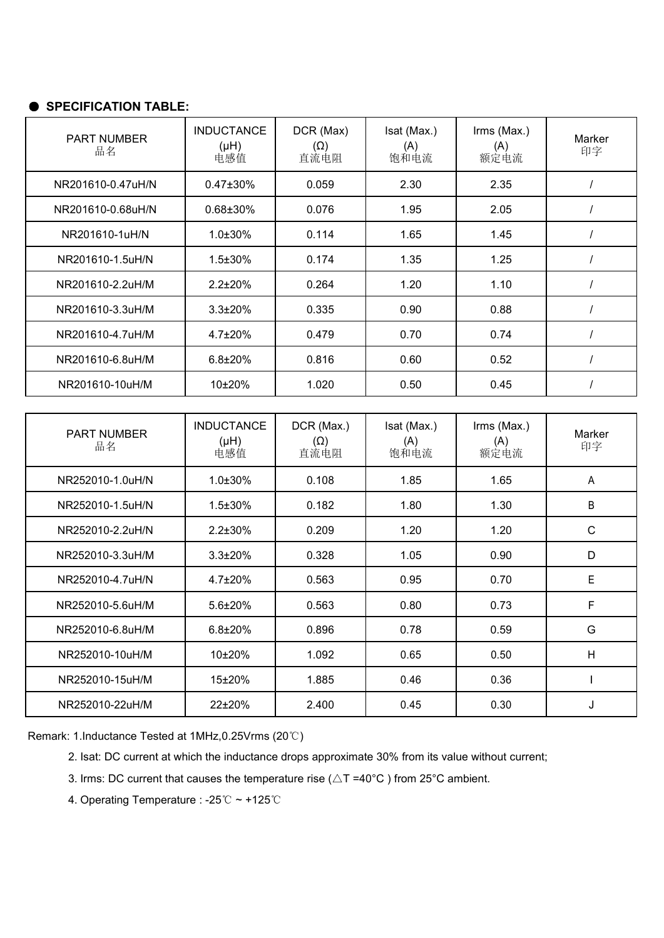| PART NUMBER<br>品名 | <b>INDUCTANCE</b><br>(Hu)<br>电感值 | DCR (Max)<br>$(\Omega)$<br>直流电阻  | Isat (Max.)<br>(A)<br>饱和电流 | Irms (Max.)<br>(A)<br>额定电流 | Marker<br>印字 |
|-------------------|----------------------------------|----------------------------------|----------------------------|----------------------------|--------------|
| NR201610-0.47uH/N | 0.47±30%                         | 0.059                            | 2.30                       | 2.35                       |              |
| NR201610-0.68uH/N | $0.68 \pm 30\%$                  | 0.076                            | 1.95                       | 2.05                       |              |
| NR201610-1uH/N    | $1.0 \pm 30\%$                   | 0.114                            | 1.65                       | 1.45                       |              |
| NR201610-1.5uH/N  | $1.5 \pm 30\%$                   | 0.174                            | 1.35                       | 1.25                       |              |
| NR201610-2.2uH/M  | $2.2 \pm 20\%$                   | 0.264                            | 1.20                       | 1.10                       |              |
| NR201610-3.3uH/M  | $3.3 \pm 20\%$                   | 0.335                            | 0.90                       | 0.88                       |              |
| NR201610-4.7uH/M  | $4.7 \pm 20\%$                   | 0.479                            | 0.70                       | 0.74                       |              |
| NR201610-6.8uH/M  | $6.8 \pm 20\%$                   | 0.816                            | 0.60                       | 0.52                       |              |
| NR201610-10uH/M   | 10±20%                           | 1.020                            | 0.50                       | 0.45                       |              |
|                   |                                  |                                  |                            |                            |              |
| PART NUMBER<br>品名 | <b>INDUCTANCE</b><br>(Hu)<br>电感值 | DCR (Max.)<br>$(\Omega)$<br>直流电阻 | Isat (Max.)<br>(A)<br>饱和电流 | Irms (Max.)<br>(A)<br>额定电流 | Marker<br>印字 |
| NR252010-1.0uH/N  | $1.0\pm30\%$                     | 0.108                            | 1.85                       | 1.65                       | A            |
| NR252010-1.5uH/N  | 1.5±30%                          | 0.182                            | 1.80                       | 1.30                       | B            |

| $N$ RZ5ZU TU-T.UUH/N | 1.U±3U%        | <b>U. IU8</b> | −55. ا | 1.OS. | $\overline{A}$ |
|----------------------|----------------|---------------|--------|-------|----------------|
| NR252010-1.5uH/N     | $1.5 \pm 30\%$ | 0.182         | 1.80   | 1.30  | B              |
| NR252010-2.2uH/N     | $2.2 \pm 30\%$ | 0.209         | 1.20   | 1.20  | $\mathsf{C}$   |
| NR252010-3.3uH/M     | $3.3 \pm 20\%$ | 0.328         | 1.05   | 0.90  | D              |
| NR252010-4.7uH/N     | $4.7 \pm 20\%$ | 0.563         | 0.95   | 0.70  | E              |
| NR252010-5.6uH/M     | $5.6 \pm 20\%$ | 0.563         | 0.80   | 0.73  | F.             |
| NR252010-6.8uH/M     | $6.8 \pm 20\%$ | 0.896         | 0.78   | 0.59  | G              |
| NR252010-10uH/M      | 10±20%         | 1.092         | 0.65   | 0.50  | H              |
| NR252010-15uH/M      | 15±20%         | 1.885         | 0.46   | 0.36  |                |
| NR252010-22uH/M      | 22±20%         | 2.400         | 0.45   | 0.30  | J              |

Remark: 1.Inductance Tested at 1MHz,0.25Vrms (20℃)

2. Isat: DC current at which the inductance drops approximate 30% from its value without current;

3. Irms: DC current that causes the temperature rise ( $\triangle T = 40^{\circ}$ C) from 25°C ambient.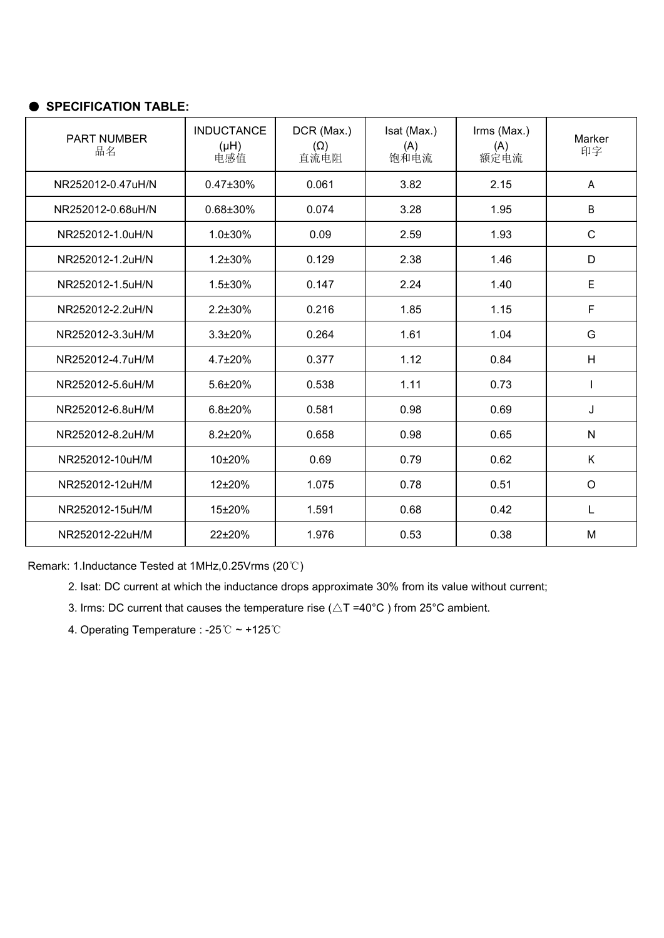| PART NUMBER<br>品名 | <b>INDUCTANCE</b><br>(Hu)<br>电感值 | DCR (Max.)<br>$(\Omega)$<br>直流电阻 | Isat (Max.)<br>(A)<br>饱和电流 | Irms (Max.)<br>(A)<br>额定电流 | Marker<br>印字 |
|-------------------|----------------------------------|----------------------------------|----------------------------|----------------------------|--------------|
| NR252012-0.47uH/N | 0.47±30%                         | 0.061                            | 3.82                       | 2.15                       | A            |
| NR252012-0.68uH/N | 0.68±30%                         | 0.074                            | 3.28                       | 1.95                       | B            |
| NR252012-1.0uH/N  | 1.0±30%                          | 0.09                             | 2.59                       | 1.93                       | $\mathsf{C}$ |
| NR252012-1.2uH/N  | $1.2 \pm 30\%$                   | 0.129                            | 2.38                       | 1.46                       | D            |
| NR252012-1.5uH/N  | $1.5 \pm 30\%$                   | 0.147                            | 2.24                       | 1.40                       | E            |
| NR252012-2.2uH/N  | $2.2 \pm 30\%$                   | 0.216                            | 1.85                       | 1.15                       | F            |
| NR252012-3.3uH/M  | $3.3 \pm 20\%$                   | 0.264                            | 1.61                       | 1.04                       | G            |
| NR252012-4.7uH/M  | 4.7±20%                          | 0.377                            | 1.12                       | 0.84                       | H            |
| NR252012-5.6uH/M  | 5.6±20%                          | 0.538                            | 1.11                       | 0.73                       |              |
| NR252012-6.8uH/M  | $6.8 \pm 20\%$                   | 0.581                            | 0.98                       | 0.69                       | J            |
| NR252012-8.2uH/M  | $8.2 \pm 20\%$                   | 0.658                            | 0.98                       | 0.65                       | ${\sf N}$    |
| NR252012-10uH/M   | 10±20%                           | 0.69                             | 0.79                       | 0.62                       | K            |
| NR252012-12uH/M   | $12\pm 20\%$                     | 1.075                            | 0.78                       | 0.51                       | $\circ$      |
| NR252012-15uH/M   | 15±20%                           | 1.591                            | 0.68                       | 0.42                       | L.           |
| NR252012-22uH/M   | 22±20%                           | 1.976                            | 0.53                       | 0.38                       | M            |

Remark: 1.Inductance Tested at 1MHz,0.25Vrms (20℃)

2. Isat: DC current at which the inductance drops approximate 30% from its value without current;

3. Irms: DC current that causes the temperature rise ( $\triangle T = 40^{\circ}$ C) from 25°C ambient.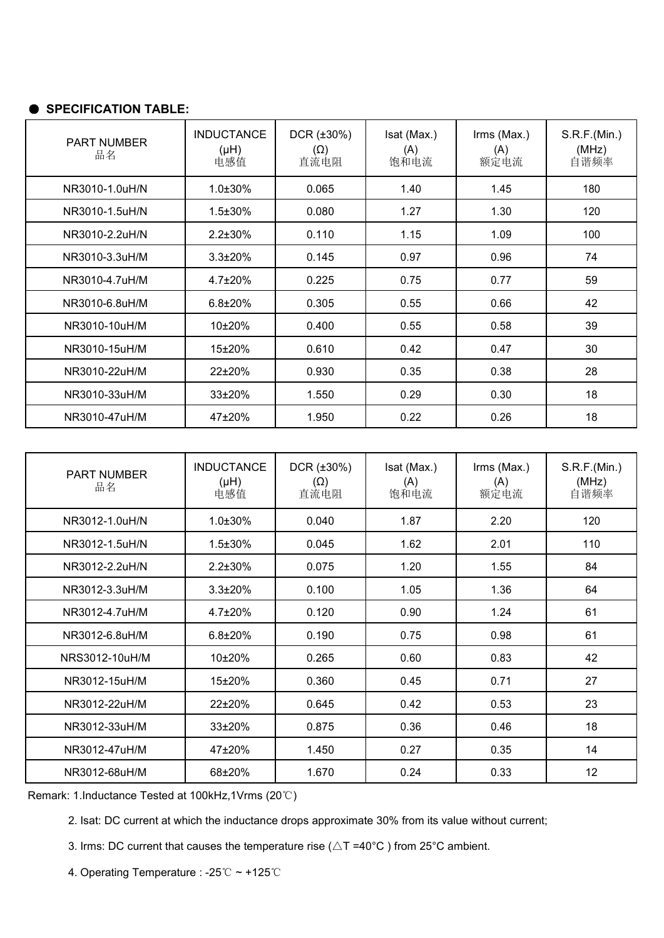| <b>PART NUMBER</b><br>品名 | <b>INDUCTANCE</b><br>$(H\mu)$<br>电感值 | $DCR$ ( $\pm 30\%$ )<br>$(\Omega)$<br>直流电阻 | Isat (Max.)<br>(A)<br>饱和电流 | Irms (Max.)<br>(A)<br>额定电流 | S.R.F.(Min.)<br>(MHz)<br>自谐频率 |
|--------------------------|--------------------------------------|--------------------------------------------|----------------------------|----------------------------|-------------------------------|
| NR3010-1.0uH/N           | 1.0±30%                              | 0.065                                      | 1.40                       | 1.45                       | 180                           |
| NR3010-1.5uH/N           | $1.5 \pm 30\%$                       | 0.080                                      | 1.27                       | 1.30                       | 120                           |
| NR3010-2.2uH/N           | $2.2 \pm 30\%$                       | 0.110                                      | 1.15                       | 1.09                       | 100                           |
| NR3010-3.3uH/M           | $3.3 \pm 20\%$                       | 0.145                                      | 0.97                       | 0.96                       | 74                            |
| NR3010-4.7uH/M           | $4.7 \pm 20\%$                       | 0.225                                      | 0.75                       | 0.77                       | 59                            |
| NR3010-6.8uH/M           | $6.8 \pm 20\%$                       | 0.305                                      | 0.55                       | 0.66                       | 42                            |
| NR3010-10uH/M            | $10\pm 20\%$                         | 0.400                                      | 0.55                       | 0.58                       | 39                            |
| NR3010-15uH/M            | 15±20%                               | 0.610                                      | 0.42                       | 0.47                       | 30                            |
| NR3010-22uH/M            | $22\pm 20\%$                         | 0.930                                      | 0.35                       | 0.38                       | 28                            |
| NR3010-33uH/M            | 33±20%                               | 1.550                                      | 0.29                       | 0.30                       | 18                            |
| NR3010-47uH/M            | 47±20%                               | 1.950                                      | 0.22                       | 0.26                       | 18                            |

| PART NUMBER<br>品名 | <b>INDUCTANCE</b><br>(Hu)<br>电感值 | $DCR$ ( $\pm 30\%$ )<br>$(\Omega)$<br>直流电阻 | Isat (Max.)<br>(A)<br>饱和电流 | Irms (Max.)<br>(A)<br>额定电流 | S.R.F.(Min.)<br>(MHz)<br>自谐频率 |
|-------------------|----------------------------------|--------------------------------------------|----------------------------|----------------------------|-------------------------------|
| NR3012-1.0uH/N    | $1.0 \pm 30\%$                   | 0.040                                      | 1.87                       | 2.20                       | 120                           |
| NR3012-1.5uH/N    | $1.5 \pm 30\%$                   | 0.045                                      | 1.62                       | 2.01                       | 110                           |
| NR3012-2.2uH/N    | $2.2 \pm 30\%$                   | 0.075                                      | 1.20                       | 1.55                       | 84                            |
| NR3012-3.3uH/M    | $3.3 \pm 20\%$                   | 0.100                                      | 1.05                       | 1.36                       | 64                            |
| NR3012-4.7uH/M    | $4.7 \pm 20\%$                   | 0.120                                      | 0.90                       | 1.24                       | 61                            |
| NR3012-6.8uH/M    | $6.8 \pm 20\%$                   | 0.190                                      | 0.75                       | 0.98                       | 61                            |
| NRS3012-10uH/M    | 10±20%                           | 0.265                                      | 0.60                       | 0.83                       | 42                            |
| NR3012-15uH/M     | 15±20%                           | 0.360                                      | 0.45                       | 0.71                       | 27                            |
| NR3012-22uH/M     | 22±20%                           | 0.645                                      | 0.42                       | 0.53                       | 23                            |
| NR3012-33uH/M     | $33\pm20%$                       | 0.875                                      | 0.36                       | 0.46                       | 18                            |
| NR3012-47uH/M     | 47±20%                           | 1.450                                      | 0.27                       | 0.35                       | 14                            |
| NR3012-68uH/M     | 68±20%                           | 1.670                                      | 0.24                       | 0.33                       | 12 <sup>°</sup>               |

Remark: 1.Inductance Tested at 100kHz,1Vrms (20℃)

2. Isat: DC current at which the inductance drops approximate 30% from its value without current;

3. Irms: DC current that causes the temperature rise ( $\triangle T = 40^{\circ}$ C) from 25°C ambient.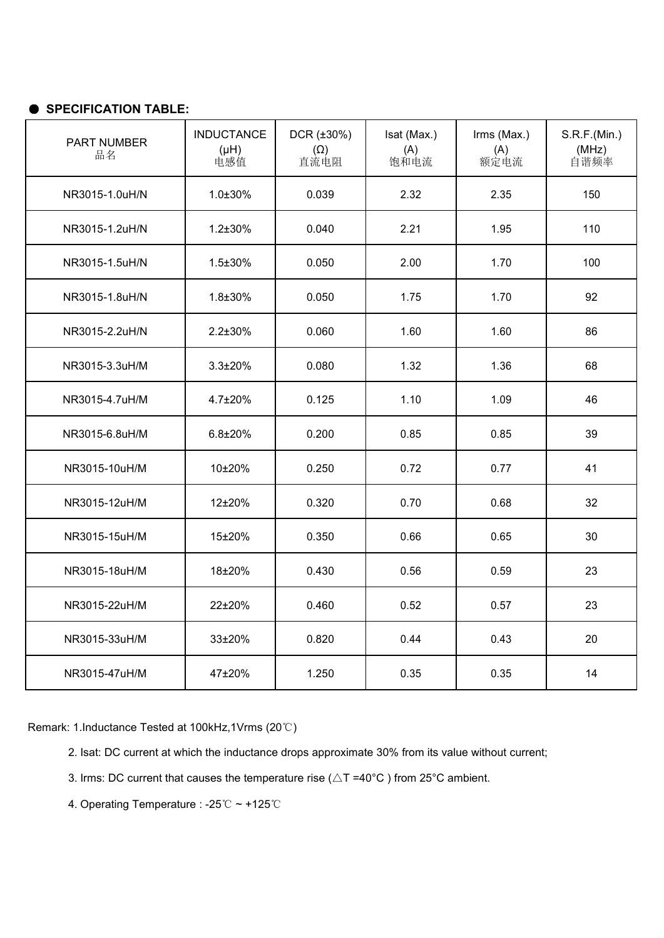| PART NUMBER<br>品名 | <b>INDUCTANCE</b><br>(Hu)<br>电感值 | $DCR$ ( $\pm 30\%$ )<br>$(\Omega)$<br>直流电阻 | Isat (Max.)<br>(A)<br>饱和电流 | Irms (Max.)<br>(A)<br>额定电流 | S.R.F.(Min.)<br>(MHz)<br>自谐频率 |
|-------------------|----------------------------------|--------------------------------------------|----------------------------|----------------------------|-------------------------------|
| NR3015-1.0uH/N    | $1.0 \pm 30\%$                   | 0.039                                      | 2.32                       | 2.35                       | 150                           |
| NR3015-1.2uH/N    | $1.2 \pm 30\%$                   | 0.040                                      | 2.21                       | 1.95                       | 110                           |
| NR3015-1.5uH/N    | $1.5 \pm 30\%$                   | 0.050                                      | 2.00                       | 1.70                       | 100                           |
| NR3015-1.8uH/N    | $1.8 \pm 30\%$                   | 0.050                                      | 1.75                       | 1.70                       | 92                            |
| NR3015-2.2uH/N    | $2.2 \pm 30\%$                   | 0.060                                      | 1.60                       | 1.60                       | 86                            |
| NR3015-3.3uH/M    | $3.3 \pm 20\%$                   | 0.080                                      | 1.32                       | 1.36                       | 68                            |
| NR3015-4.7uH/M    | $4.7 \pm 20\%$                   | 0.125                                      | 1.10                       | 1.09                       | 46                            |
| NR3015-6.8uH/M    | $6.8 + 20%$                      | 0.200                                      | 0.85                       | 0.85                       | 39                            |
| NR3015-10uH/M     | 10±20%                           | 0.250                                      | 0.72                       | 0.77                       | 41                            |
| NR3015-12uH/M     | 12±20%                           | 0.320                                      | 0.70                       | 0.68                       | 32                            |
| NR3015-15uH/M     | 15±20%                           | 0.350                                      | 0.66                       | 0.65                       | 30                            |
| NR3015-18uH/M     | 18±20%                           | 0.430                                      | 0.56                       | 0.59                       | 23                            |
| NR3015-22uH/M     | 22±20%                           | 0.460                                      | 0.52                       | 0.57                       | 23                            |
| NR3015-33uH/M     | 33±20%                           | 0.820                                      | 0.44                       | 0.43                       | 20                            |
| NR3015-47uH/M     | 47±20%                           | 1.250                                      | 0.35                       | 0.35                       | 14                            |

- 2. Isat: DC current at which the inductance drops approximate 30% from its value without current;
- 3. Irms: DC current that causes the temperature rise ( $\triangle T = 40^{\circ}$ C) from 25°C ambient.
- 4. Operating Temperature : -25℃ ~ +125℃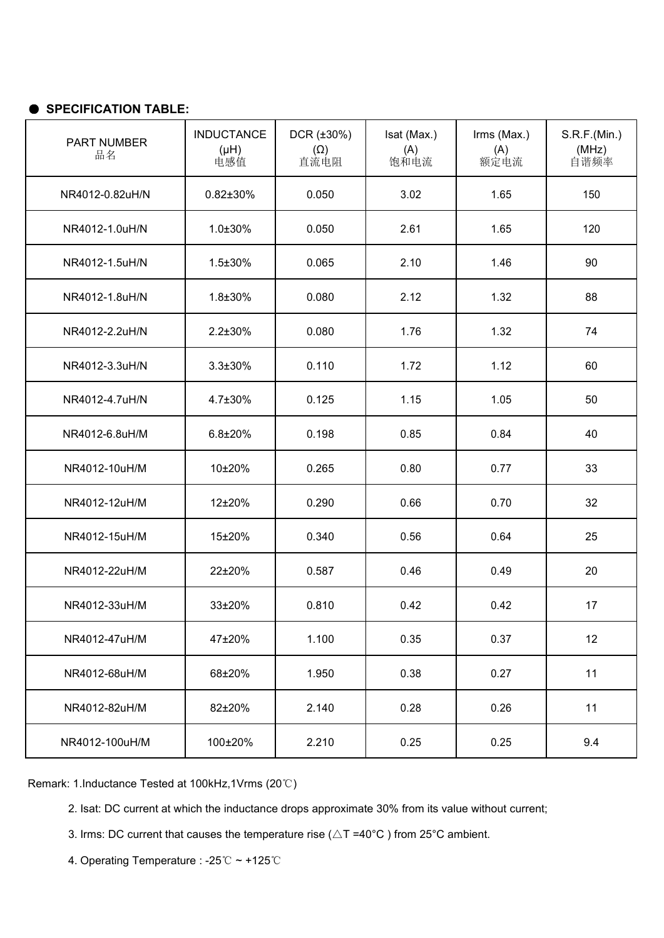| PART NUMBER<br>品名 | <b>INDUCTANCE</b><br>(Hu)<br>电感值 | $DCR$ ( $\pm 30\%$ )<br>$(\Omega)$<br>直流电阻 | Isat (Max.)<br>(A)<br>饱和电流 | Irms (Max.)<br>(A)<br>额定电流 | S.R.F.(Min.)<br>(MHz)<br>自谐频率 |
|-------------------|----------------------------------|--------------------------------------------|----------------------------|----------------------------|-------------------------------|
| NR4012-0.82uH/N   | $0.82 \pm 30\%$                  | 0.050                                      | 3.02                       | 1.65                       | 150                           |
| NR4012-1.0uH/N    | $1.0 \pm 30\%$                   | 0.050                                      | 2.61                       | 1.65                       | 120                           |
| NR4012-1.5uH/N    | $1.5 \pm 30\%$                   | 0.065                                      | 2.10                       | 1.46                       | 90                            |
| NR4012-1.8uH/N    | $1.8 + 30%$                      | 0.080                                      | 2.12                       | 1.32                       | 88                            |
| NR4012-2.2uH/N    | $2.2 \pm 30\%$                   | 0.080                                      | 1.76                       | 1.32                       | 74                            |
| NR4012-3.3uH/N    | $3.3 \pm 30\%$                   | 0.110                                      | 1.72                       | 1.12                       | 60                            |
| NR4012-4.7uH/N    | $4.7 \pm 30\%$                   | 0.125                                      | 1.15                       | 1.05                       | 50                            |
| NR4012-6.8uH/M    | $6.8 \pm 20\%$                   | 0.198                                      | 0.85                       | 0.84                       | 40                            |
| NR4012-10uH/M     | $10\pm 20\%$                     | 0.265                                      | 0.80                       | 0.77                       | 33                            |
| NR4012-12uH/M     | 12±20%                           | 0.290                                      | 0.66                       | 0.70                       | 32                            |
| NR4012-15uH/M     | 15±20%                           | 0.340                                      | 0.56                       | 0.64                       | 25                            |
| NR4012-22uH/M     | 22±20%                           | 0.587                                      | 0.46                       | 0.49                       | 20                            |
| NR4012-33uH/M     | 33±20%                           | 0.810                                      | 0.42                       | 0.42                       | 17                            |
| NR4012-47uH/M     | 47±20%                           | 1.100                                      | 0.35                       | 0.37                       | 12                            |
| NR4012-68uH/M     | 68±20%                           | 1.950                                      | 0.38                       | 0.27                       | 11                            |
| NR4012-82uH/M     | 82±20%                           | 2.140                                      | 0.28                       | 0.26                       | 11                            |
| NR4012-100uH/M    | 100±20%                          | 2.210                                      | 0.25                       | 0.25                       | 9.4                           |

- 2. Isat: DC current at which the inductance drops approximate 30% from its value without current;
- 3. Irms: DC current that causes the temperature rise ( $\triangle T = 40^{\circ}$ C) from 25°C ambient.
- 4. Operating Temperature : -25℃ ~ +125℃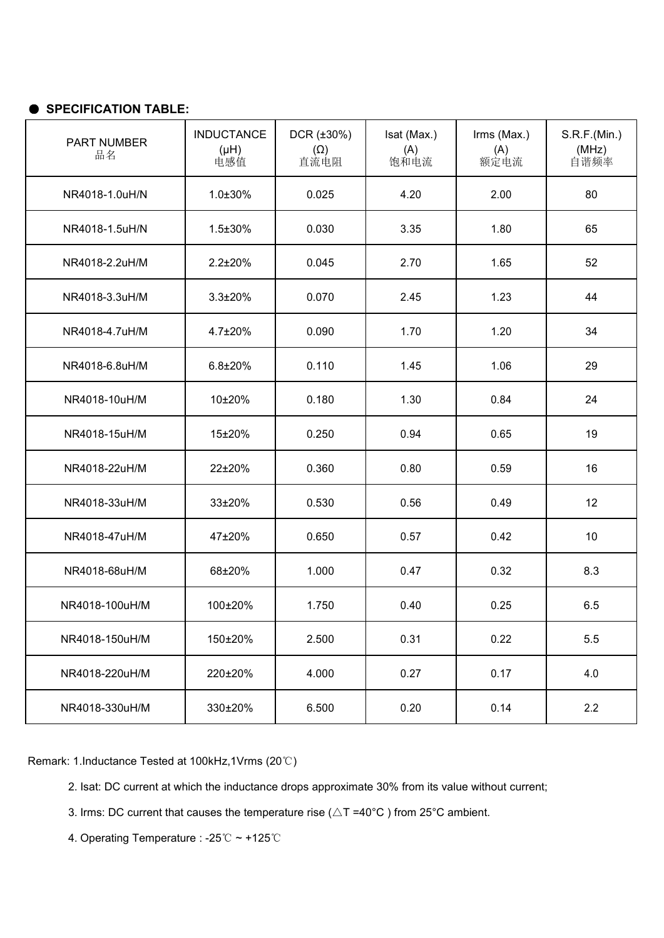| PART NUMBER<br>品名 | <b>INDUCTANCE</b><br>(Hu)<br>电感值 | $DCR$ ( $\pm 30\%$ )<br>$(\Omega)$<br>直流电阻 | Isat (Max.)<br>(A)<br>饱和电流 | Irms (Max.)<br>(A)<br>额定电流 | S.R.F.(Min.)<br>(MHz)<br>自谐频率 |
|-------------------|----------------------------------|--------------------------------------------|----------------------------|----------------------------|-------------------------------|
| NR4018-1.0uH/N    | $1.0 \pm 30\%$                   | 0.025                                      | 4.20                       | 2.00                       | 80                            |
| NR4018-1.5uH/N    | $1.5 \pm 30\%$                   | 0.030                                      | 3.35                       | 1.80                       | 65                            |
| NR4018-2.2uH/M    | $2.2 \pm 20\%$                   | 0.045                                      | 2.70                       | 1.65                       | 52                            |
| NR4018-3.3uH/M    | $3.3 \pm 20\%$                   | 0.070                                      | 2.45                       | 1.23                       | 44                            |
| NR4018-4.7uH/M    | $4.7 \pm 20\%$                   | 0.090                                      | 1.70                       | 1.20                       | 34                            |
| NR4018-6.8uH/M    | $6.8 \pm 20\%$                   | 0.110                                      | 1.45                       | 1.06                       | 29                            |
| NR4018-10uH/M     | 10±20%                           | 0.180                                      | 1.30                       | 0.84                       | 24                            |
| NR4018-15uH/M     | 15±20%                           | 0.250                                      | 0.94                       | 0.65                       | 19                            |
| NR4018-22uH/M     | 22±20%                           | 0.360                                      | 0.80                       | 0.59                       | 16                            |
| NR4018-33uH/M     | 33±20%                           | 0.530                                      | 0.56                       | 0.49                       | 12                            |
| NR4018-47uH/M     | 47±20%                           | 0.650                                      | 0.57                       | 0.42                       | 10                            |
| NR4018-68uH/M     | 68±20%                           | 1.000                                      | 0.47                       | 0.32                       | 8.3                           |
| NR4018-100uH/M    | 100±20%                          | 1.750                                      | 0.40                       | 0.25                       | 6.5                           |
| NR4018-150uH/M    | 150±20%                          | 2.500                                      | 0.31                       | 0.22                       | 5.5                           |
| NR4018-220uH/M    | 220±20%                          | 4.000                                      | 0.27                       | 0.17                       | 4.0                           |
| NR4018-330uH/M    | 330±20%                          | 6.500                                      | 0.20                       | 0.14                       | 2.2                           |

Remark: 1.Inductance Tested at 100kHz,1Vrms (20℃)

2. Isat: DC current at which the inductance drops approximate 30% from its value without current;

- 3. Irms: DC current that causes the temperature rise ( $\triangle T = 40^{\circ}$ C) from 25°C ambient.
- 4. Operating Temperature : -25℃ ~ +125℃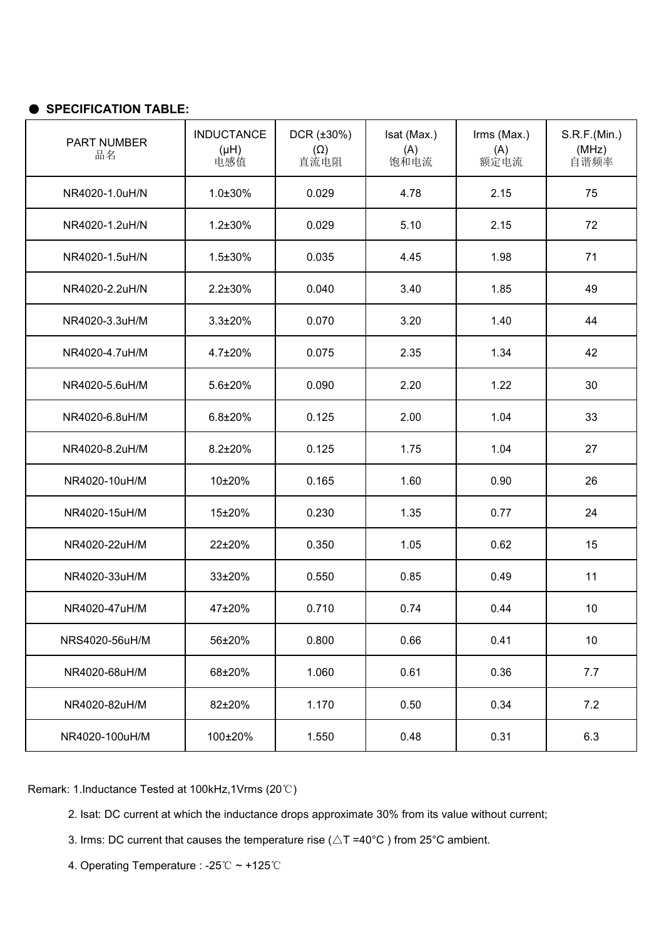| PART NUMBER<br>品名 | <b>INDUCTANCE</b><br>(Hu)<br>电感值 | $DCR$ ( $\pm 30\%$ )<br>$(\Omega)$<br>直流电阻 | Isat (Max.)<br>(A)<br>饱和电流 | Irms (Max.)<br>(A)<br>额定电流 | S.R.F.(Min.)<br>(MHz)<br>自谐频率 |
|-------------------|----------------------------------|--------------------------------------------|----------------------------|----------------------------|-------------------------------|
| NR4020-1.0uH/N    | 1.0±30%                          | 0.029                                      | 4.78                       | 2.15                       | 75                            |
| NR4020-1.2uH/N    | $1.2 \pm 30\%$                   | 0.029                                      | 5.10                       | 2.15                       | 72                            |
| NR4020-1.5uH/N    | $1.5 \pm 30\%$                   | 0.035                                      | 4.45                       | 1.98                       | 71                            |
| NR4020-2.2uH/N    | $2.2 \pm 30\%$                   | 0.040                                      | 3.40                       | 1.85                       | 49                            |
| NR4020-3.3uH/M    | $3.3 \pm 20\%$                   | 0.070                                      | 3.20                       | 1.40                       | 44                            |
| NR4020-4.7uH/M    | $4.7 \pm 20\%$                   | 0.075                                      | 2.35                       | 1.34                       | 42                            |
| NR4020-5.6uH/M    | 5.6±20%                          | 0.090                                      | 2.20                       | 1.22                       | 30                            |
| NR4020-6.8uH/M    | $6.8 + 20%$                      | 0.125                                      | 2.00                       | 1.04                       | 33                            |
| NR4020-8.2uH/M    | $8.2 \pm 20\%$                   | 0.125                                      | 1.75                       | 1.04                       | 27                            |
| NR4020-10uH/M     | 10±20%                           | 0.165                                      | 1.60                       | 0.90                       | 26                            |
| NR4020-15uH/M     | 15±20%                           | 0.230                                      | 1.35                       | 0.77                       | 24                            |
| NR4020-22uH/M     | 22±20%                           | 0.350                                      | 1.05                       | 0.62                       | 15                            |
| NR4020-33uH/M     | 33±20%                           | 0.550                                      | 0.85                       | 0.49                       | 11                            |
| NR4020-47uH/M     | 47±20%                           | 0.710                                      | 0.74                       | 0.44                       | 10                            |
| NRS4020-56uH/M    | 56±20%                           | 0.800                                      | 0.66                       | 0.41                       | 10                            |
| NR4020-68uH/M     | 68±20%                           | 1.060                                      | 0.61                       | 0.36                       | 7.7                           |
| NR4020-82uH/M     | 82±20%                           | 1.170                                      | 0.50                       | 0.34                       | 7.2                           |
| NR4020-100uH/M    | 100±20%                          | 1.550                                      | 0.48                       | 0.31                       | 6.3                           |

- 2. Isat: DC current at which the inductance drops approximate 30% from its value without current;
- 3. Irms: DC current that causes the temperature rise ( $\triangle T = 40^{\circ}$ C) from 25°C ambient.
- 4. Operating Temperature : -25℃ ~ +125℃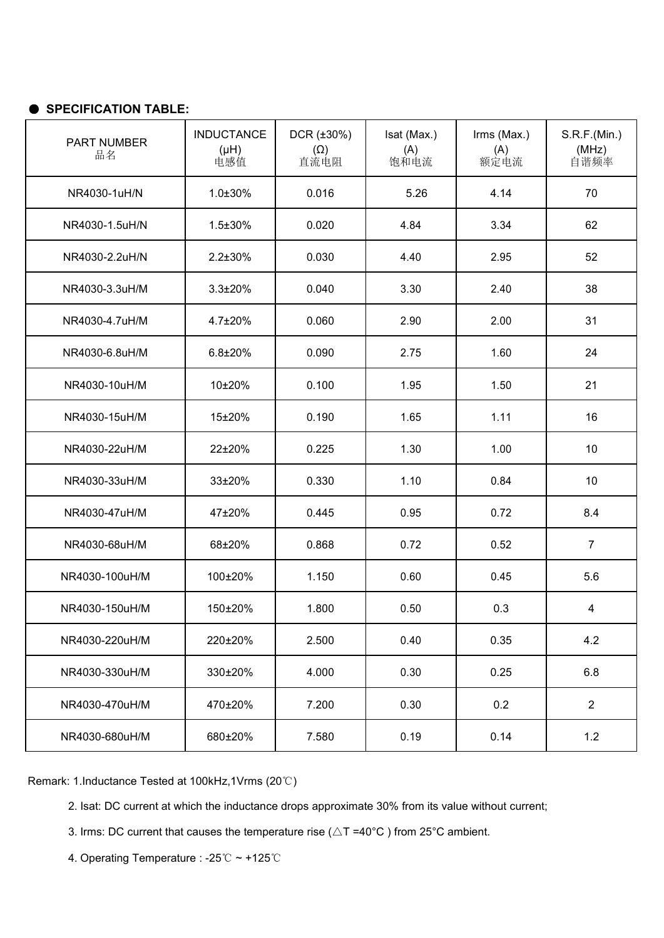| PART NUMBER<br>品名 | <b>INDUCTANCE</b><br>(Hu)<br>电感值 | $DCR$ ( $\pm 30\%$ )<br>$(\Omega)$<br>直流电阻 | Isat (Max.)<br>(A)<br>饱和电流 | Irms (Max.)<br>(A)<br>额定电流 | S.R.F.(Min.)<br>(MHz)<br>自谐频率 |
|-------------------|----------------------------------|--------------------------------------------|----------------------------|----------------------------|-------------------------------|
| NR4030-1uH/N      | $1.0 \pm 30\%$                   | 0.016                                      | 5.26                       | 4.14                       | 70                            |
| NR4030-1.5uH/N    | $1.5 \pm 30\%$                   | 0.020                                      | 4.84                       | 3.34                       | 62                            |
| NR4030-2.2uH/N    | $2.2 \pm 30\%$                   | 0.030                                      | 4.40                       | 2.95                       | 52                            |
| NR4030-3.3uH/M    | $3.3 \pm 20\%$                   | 0.040                                      | 3.30                       | 2.40                       | 38                            |
| NR4030-4.7uH/M    | $4.7 \pm 20\%$                   | 0.060                                      | 2.90                       | 2.00                       | 31                            |
| NR4030-6.8uH/M    | $6.8 + 20%$                      | 0.090                                      | 2.75                       | 1.60                       | 24                            |
| NR4030-10uH/M     | 10±20%                           | 0.100                                      | 1.95                       | 1.50                       | 21                            |
| NR4030-15uH/M     | 15±20%                           | 0.190                                      | 1.65                       | 1.11                       | 16                            |
| NR4030-22uH/M     | 22±20%                           | 0.225                                      | 1.30                       | 1.00                       | 10                            |
| NR4030-33uH/M     | 33±20%                           | 0.330                                      | 1.10                       | 0.84                       | 10                            |
| NR4030-47uH/M     | 47±20%                           | 0.445                                      | 0.95                       | 0.72                       | 8.4                           |
| NR4030-68uH/M     | 68±20%                           | 0.868                                      | 0.72                       | 0.52                       | $\overline{7}$                |
| NR4030-100uH/M    | 100±20%                          | 1.150                                      | 0.60                       | 0.45                       | 5.6                           |
| NR4030-150uH/M    | 150±20%                          | 1.800                                      | 0.50                       | 0.3                        | 4                             |
| NR4030-220uH/M    | 220±20%                          | 2.500                                      | 0.40                       | 0.35                       | 4.2                           |
| NR4030-330uH/M    | 330±20%                          | 4.000                                      | 0.30                       | 0.25                       | 6.8                           |
| NR4030-470uH/M    | 470±20%                          | 7.200                                      | 0.30                       | 0.2                        | $\overline{2}$                |
| NR4030-680uH/M    | 680±20%                          | 7.580                                      | 0.19                       | 0.14                       | 1.2                           |

- 2. Isat: DC current at which the inductance drops approximate 30% from its value without current;
- 3. Irms: DC current that causes the temperature rise ( $\triangle T = 40^{\circ}$ C) from 25°C ambient.
- 4. Operating Temperature : -25℃ ~ +125℃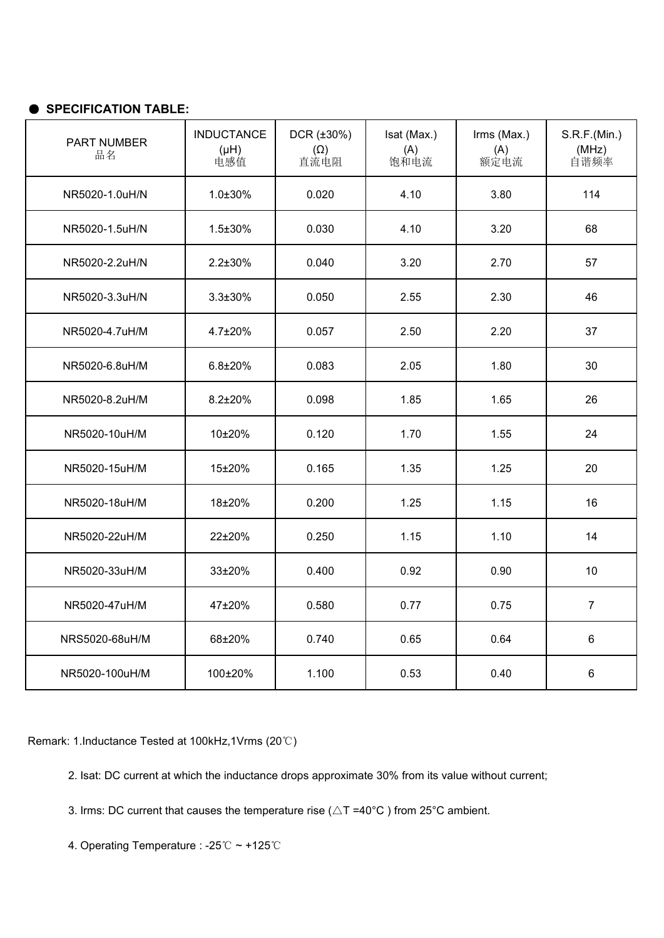| PART NUMBER<br>品名 | <b>INDUCTANCE</b><br>(Hu)<br>电感值 | DCR (±30%)<br>$(\Omega)$<br>直流电阻 | Isat (Max.)<br>(A)<br>饱和电流 | Irms (Max.)<br>(A)<br>额定电流 | S.R.F.(Min.)<br>(MHz)<br>自谐频率 |
|-------------------|----------------------------------|----------------------------------|----------------------------|----------------------------|-------------------------------|
| NR5020-1.0uH/N    | $1.0 \pm 30\%$                   | 0.020                            | 4.10                       | 3.80                       | 114                           |
| NR5020-1.5uH/N    | $1.5 \pm 30\%$                   | 0.030                            | 4.10                       | 3.20                       | 68                            |
| NR5020-2.2uH/N    | $2.2 \pm 30\%$                   | 0.040                            | 3.20                       | 2.70                       | 57                            |
| NR5020-3.3uH/N    | $3.3 \pm 30\%$                   | 0.050                            | 2.55                       | 2.30                       | 46                            |
| NR5020-4.7uH/M    | $4.7 \pm 20\%$                   | 0.057                            | 2.50                       | 2.20                       | 37                            |
| NR5020-6.8uH/M    | $6.8 + 20%$                      | 0.083                            | 2.05                       | 1.80                       | 30                            |
| NR5020-8.2uH/M    | $8.2 \pm 20\%$                   | 0.098                            | 1.85                       | 1.65                       | 26                            |
| NR5020-10uH/M     | 10±20%                           | 0.120                            | 1.70                       | 1.55                       | 24                            |
| NR5020-15uH/M     | 15±20%                           | 0.165                            | 1.35                       | 1.25                       | 20                            |
| NR5020-18uH/M     | 18±20%                           | 0.200                            | 1.25                       | 1.15                       | 16                            |
| NR5020-22uH/M     | 22±20%                           | 0.250                            | 1.15                       | 1.10                       | 14                            |
| NR5020-33uH/M     | 33±20%                           | 0.400                            | 0.92                       | 0.90                       | 10                            |
| NR5020-47uH/M     | 47±20%                           | 0.580                            | 0.77                       | 0.75                       | $\overline{7}$                |
| NRS5020-68uH/M    | 68±20%                           | 0.740                            | 0.65                       | 0.64                       | 6                             |
| NR5020-100uH/M    | 100±20%                          | 1.100                            | 0.53                       | 0.40                       | 6                             |

Remark: 1.Inductance Tested at 100kHz,1Vrms (20℃)

2. Isat: DC current at which the inductance drops approximate 30% from its value without current;

3. Irms: DC current that causes the temperature rise ( $\triangle T = 40^{\circ}$ C) from 25°C ambient.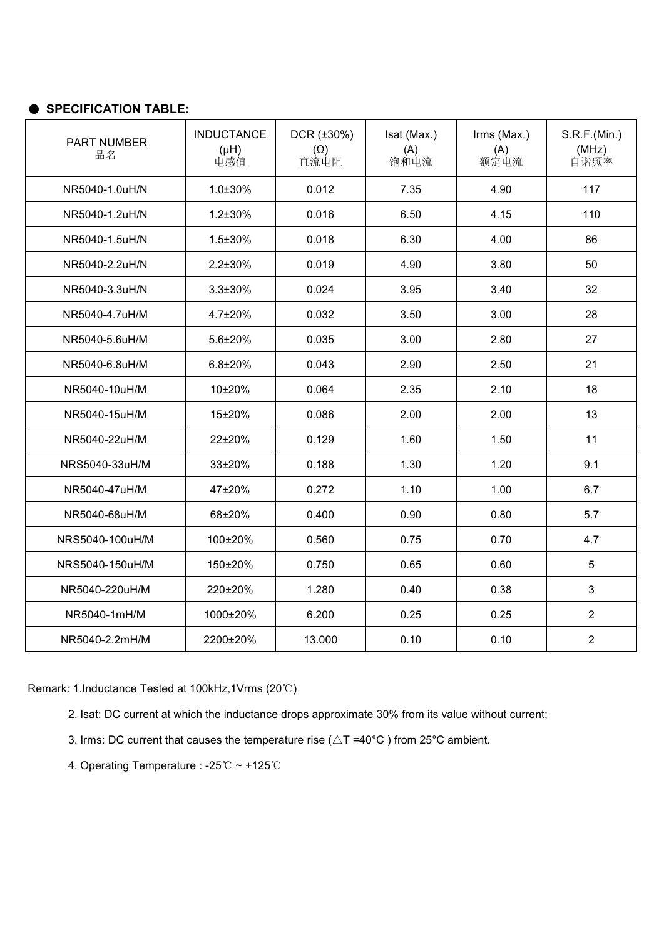| PART NUMBER<br>品名 | <b>INDUCTANCE</b><br>(Hu)<br>电感值 | $DCR$ ( $\pm 30\%$ )<br>$(\Omega)$<br>直流电阻 | Isat (Max.)<br>(A)<br>饱和电流 | Irms (Max.)<br>(A)<br>额定电流 | S.R.F.(Min.)<br>(MHz)<br>自谐频率 |  |
|-------------------|----------------------------------|--------------------------------------------|----------------------------|----------------------------|-------------------------------|--|
| NR5040-1.0uH/N    | $1.0 \pm 30\%$                   | 0.012                                      | 7.35                       | 4.90                       | 117                           |  |
| NR5040-1.2uH/N    | $1.2 \pm 30\%$                   | 0.016                                      | 6.50                       | 4.15                       | 110                           |  |
| NR5040-1.5uH/N    | $1.5 \pm 30\%$                   | 0.018                                      | 6.30                       | 4.00                       | 86                            |  |
| NR5040-2.2uH/N    | $2.2 \pm 30\%$                   | 0.019                                      | 4.90<br>3.80               |                            | 50                            |  |
| NR5040-3.3uH/N    | $3.3 \pm 30\%$                   | 0.024                                      | 3.95                       | 3.40                       | 32                            |  |
| NR5040-4.7uH/M    | $4.7 \pm 20\%$                   | 0.032                                      | 3.50                       | 3.00                       | 28                            |  |
| NR5040-5.6uH/M    | 5.6±20%                          | 0.035                                      | 3.00                       | 2.80                       | 27                            |  |
| NR5040-6.8uH/M    | $6.8 + 20%$                      | 0.043                                      | 2.90                       | 2.50                       | 21                            |  |
| NR5040-10uH/M     | 10±20%                           | 0.064                                      | 2.35                       | 2.10                       | 18                            |  |
| NR5040-15uH/M     | 15±20%                           | 0.086                                      | 2.00                       | 2.00                       | 13                            |  |
| NR5040-22uH/M     | 22±20%                           | 0.129                                      | 1.60                       | 1.50                       | 11                            |  |
| NRS5040-33uH/M    | 33±20%                           | 0.188                                      | 1.30                       | 1.20                       | 9.1                           |  |
| NR5040-47uH/M     | 47±20%                           | 0.272                                      | 1.10                       | 1.00                       | 6.7                           |  |
| NR5040-68uH/M     | 68±20%                           | 0.400                                      | 0.90                       | 0.80                       | 5.7                           |  |
| NRS5040-100uH/M   | 100±20%                          | 0.560                                      | 0.75                       | 0.70                       | 4.7                           |  |
| NRS5040-150uH/M   | 150±20%                          | 0.750                                      | 0.65                       | 0.60                       | 5                             |  |
| NR5040-220uH/M    | 220±20%                          | 1.280                                      | 0.40                       | 0.38                       | 3                             |  |
| NR5040-1mH/M      | 1000±20%                         | 6.200                                      | 0.25                       | 0.25                       | $\overline{2}$                |  |
| NR5040-2.2mH/M    | 2200±20%                         | 13.000                                     | 0.10                       | 0.10                       | $\overline{2}$                |  |

- 2. Isat: DC current at which the inductance drops approximate 30% from its value without current;
- 3. Irms: DC current that causes the temperature rise ( $\triangle T = 40^{\circ}$ C) from 25°C ambient.
- 4. Operating Temperature : -25℃ ~ +125℃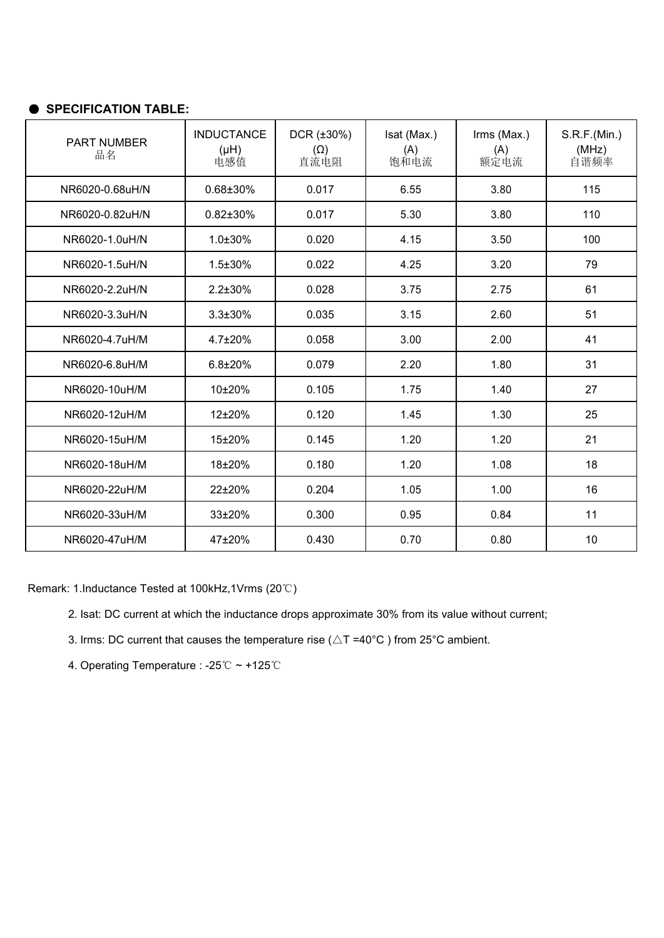| <b>PART NUMBER</b><br>品名 | <b>INDUCTANCE</b><br>(Hu)<br>电感值 | $DCR$ ( $\pm 30\%$ )<br>$(\Omega)$<br>直流电阻 | Isat (Max.)<br>(A)<br>饱和电流 | Irms (Max.)<br>(A)<br>额定电流 | S.R.F.(Min.)<br>(MHz)<br>自谐频率 |
|--------------------------|----------------------------------|--------------------------------------------|----------------------------|----------------------------|-------------------------------|
| NR6020-0.68uH/N          | 0.68±30%                         | 0.017                                      | 6.55                       | 3.80                       | 115                           |
| NR6020-0.82uH/N          | $0.82 \pm 30\%$                  | 0.017                                      | 5.30                       | 3.80                       | 110                           |
| NR6020-1.0uH/N           | $1.0 \pm 30\%$                   | 0.020                                      | 4.15                       | 3.50                       | 100                           |
| NR6020-1.5uH/N           | $1.5 \pm 30\%$                   | 0.022                                      | 4.25                       | 3.20                       | 79                            |
| NR6020-2.2uH/N           | $2.2 \pm 30\%$                   | 0.028                                      | 3.75                       | 2.75                       | 61                            |
| NR6020-3.3uH/N           | $3.3 \pm 30\%$                   | 0.035                                      | 3.15                       | 2.60                       | 51                            |
| NR6020-4.7uH/M           | $4.7 \pm 20\%$                   | 0.058                                      | 3.00                       | 2.00                       | 41                            |
| NR6020-6.8uH/M           | $6.8 \pm 20\%$                   | 0.079                                      | 2.20                       | 1.80                       | 31                            |
| NR6020-10uH/M            | 10±20%                           | 0.105                                      | 1.75                       | 1.40                       | 27                            |
| NR6020-12uH/M            | 12±20%                           | 0.120                                      | 1.45                       | 1.30                       | 25                            |
| NR6020-15uH/M            | 15±20%                           | 0.145                                      | 1.20                       | 1.20                       | 21                            |
| NR6020-18uH/M            | 18±20%                           | 0.180                                      | 1.20                       | 1.08                       | 18                            |
| NR6020-22uH/M            | 22±20%                           | 0.204                                      | 1.05                       | 1.00                       | 16                            |
| NR6020-33uH/M            | $33\pm20%$                       | 0.300                                      | 0.95                       | 0.84                       | 11                            |
| NR6020-47uH/M            | 47±20%                           | 0.430                                      | 0.70                       | 0.80                       | 10                            |

- 2. Isat: DC current at which the inductance drops approximate 30% from its value without current;
- 3. Irms: DC current that causes the temperature rise ( $\triangle T = 40^{\circ}$ C) from 25°C ambient.
- 4. Operating Temperature : -25℃ ~ +125℃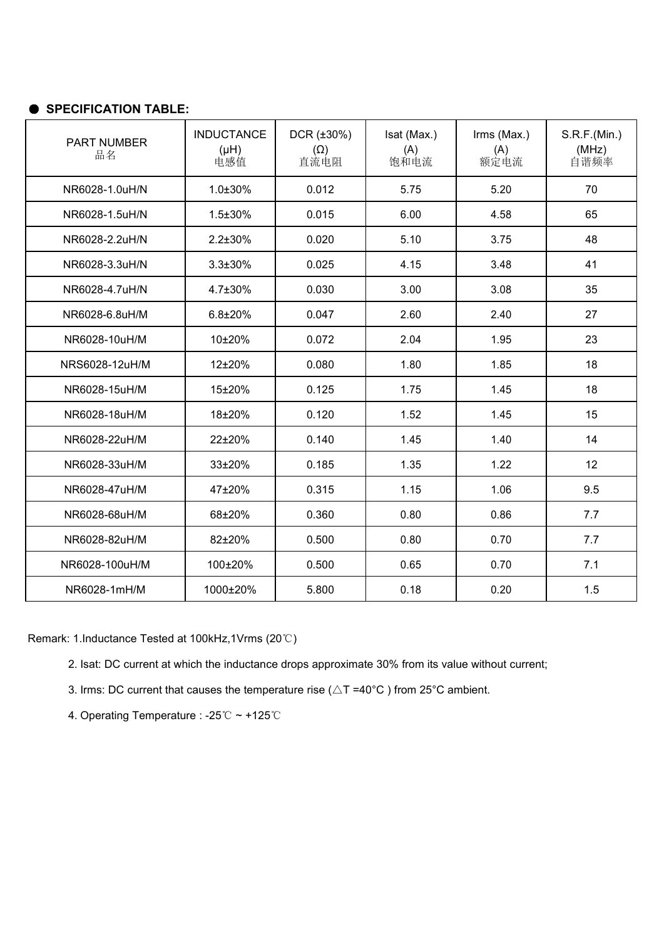| <b>PART NUMBER</b><br>品名 | <b>INDUCTANCE</b><br>(Hu)<br>电感值 | $DCR$ ( $\pm 30\%$ )<br>$(\Omega)$<br>直流电阻 | Isat (Max.)<br>(A)<br>饱和电流 | Irms (Max.)<br>(A)<br>额定电流 | S.R.F.(Min.)<br>(MHz)<br>自谐频率 |  |
|--------------------------|----------------------------------|--------------------------------------------|----------------------------|----------------------------|-------------------------------|--|
| NR6028-1.0uH/N           | 1.0±30%                          | 0.012                                      | 5.20<br>70<br>5.75         |                            |                               |  |
| NR6028-1.5uH/N           | $1.5 \pm 30\%$                   | 0.015                                      | 6.00                       | 4.58                       | 65                            |  |
| NR6028-2.2uH/N           | $2.2 \pm 30\%$                   | 0.020                                      | 5.10                       | 3.75                       | 48                            |  |
| NR6028-3.3uH/N           | $3.3 \pm 30\%$                   | 0.025<br>4.15                              |                            | 3.48                       | 41                            |  |
| NR6028-4.7uH/N           | 4.7±30%                          | 0.030                                      | 3.00                       | 3.08                       | 35                            |  |
| NR6028-6.8uH/M           | $6.8 + 20%$                      | 0.047                                      | 2.60                       | 2.40                       | 27                            |  |
| NR6028-10uH/M            | 10±20%                           | 0.072                                      | 2.04                       | 1.95                       | 23                            |  |
| NRS6028-12uH/M           | 12±20%                           | 0.080                                      | 1.80                       | 1.85                       | 18                            |  |
| NR6028-15uH/M            | 15±20%                           | 0.125                                      | 1.75                       | 1.45                       | 18                            |  |
| NR6028-18uH/M            | 18±20%                           | 0.120                                      | 1.52                       | 1.45                       | 15                            |  |
| NR6028-22uH/M            | 22±20%                           | 0.140                                      | 1.45                       | 1.40                       | 14                            |  |
| NR6028-33uH/M            | 33±20%                           | 0.185                                      | 1.35                       | 1.22                       | 12                            |  |
| NR6028-47uH/M            | 47±20%                           | 0.315                                      | 1.15                       | 1.06                       | 9.5                           |  |
| NR6028-68uH/M            | 68±20%                           | 0.360                                      | 0.80                       | 0.86                       | 7.7                           |  |
| NR6028-82uH/M            | 82±20%                           | 0.500                                      | 0.80                       | 0.70                       | 7.7                           |  |
| NR6028-100uH/M           | 100±20%                          | 0.500                                      | 0.65                       | 0.70                       | 7.1                           |  |
| NR6028-1mH/M             | 1000±20%                         | 5.800                                      | 0.18                       | 0.20                       | 1.5                           |  |

Remark: 1.Inductance Tested at 100kHz,1Vrms (20℃)

2. Isat: DC current at which the inductance drops approximate 30% from its value without current;

3. Irms: DC current that causes the temperature rise ( $\triangle T = 40^{\circ}$ C) from 25°C ambient.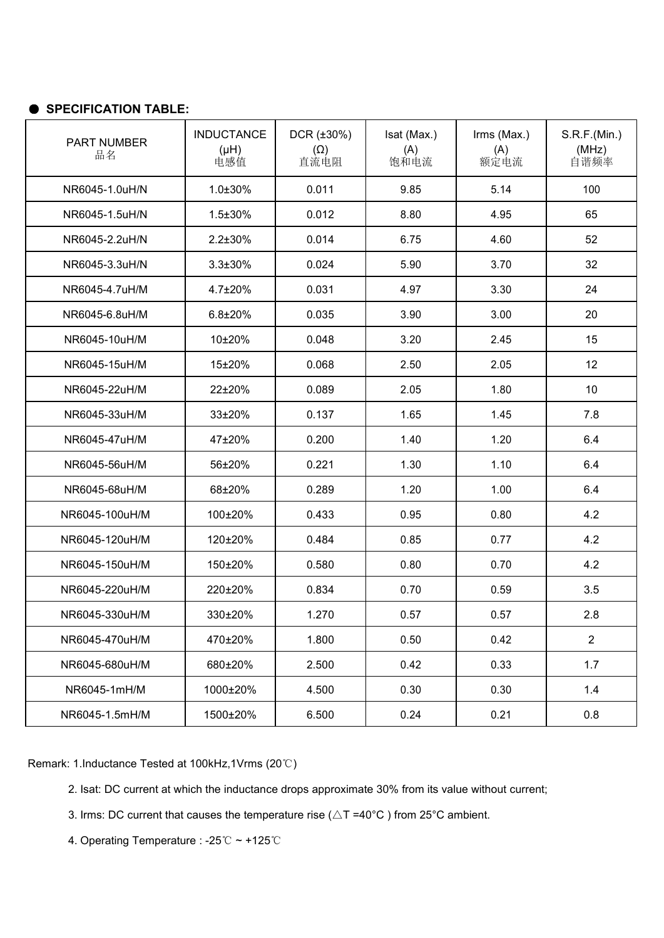| PART NUMBER<br>品名 | <b>INDUCTANCE</b><br>(Hu)<br>电感值 | $DCR$ ( $\pm 30\%$ )<br>$(\Omega)$<br>直流电阻 | Isat (Max.)<br>(A)<br>饱和电流 | Irms (Max.)<br>(A)<br>额定电流 | S.R.F.(Min.)<br>(MHz)<br>自谐频率 |
|-------------------|----------------------------------|--------------------------------------------|----------------------------|----------------------------|-------------------------------|
| NR6045-1.0uH/N    | $1.0 \pm 30\%$                   | 0.011                                      | 9.85                       | 5.14                       | 100                           |
| NR6045-1.5uH/N    | $1.5 \pm 30\%$                   | 0.012                                      | 8.80                       | 65<br>4.95                 |                               |
| NR6045-2.2uH/N    | $2.2 \pm 30\%$                   | 0.014<br>6.75<br>4.60                      |                            |                            | 52                            |
| NR6045-3.3uH/N    | $3.3 \pm 30\%$                   | 0.024                                      | 5.90                       | 3.70                       | 32                            |
| NR6045-4.7uH/M    | $4.7 \pm 20\%$                   | 0.031                                      | 4.97                       | 3.30                       | 24                            |
| NR6045-6.8uH/M    | $6.8 \pm 20\%$                   | 0.035                                      | 3.90                       | 3.00                       | 20                            |
| NR6045-10uH/M     | 10±20%                           | 0.048                                      | 3.20                       | 2.45                       | 15                            |
| NR6045-15uH/M     | 15±20%                           | 0.068                                      | 2.50                       | 2.05                       | 12                            |
| NR6045-22uH/M     | 22±20%                           | 0.089                                      | 2.05                       | 1.80                       | 10                            |
| NR6045-33uH/M     | 33±20%                           | 0.137                                      | 1.65                       | 1.45                       | 7.8                           |
| NR6045-47uH/M     | 47±20%                           | 0.200                                      | 1.40                       | 1.20                       | 6.4                           |
| NR6045-56uH/M     | 56±20%                           | 0.221                                      | 1.30                       | 1.10                       | 6.4                           |
| NR6045-68uH/M     | 68±20%                           | 0.289                                      | 1.20                       | 1.00                       | 6.4                           |
| NR6045-100uH/M    | 100±20%                          | 0.433                                      | 0.95                       | 4.2<br>0.80                |                               |
| NR6045-120uH/M    | 120±20%                          | 0.484                                      | 0.85                       | 0.77                       | 4.2                           |
| NR6045-150uH/M    | 150±20%                          | 0.580                                      | 0.80                       | 0.70                       | 4.2                           |
| NR6045-220uH/M    | 220±20%                          | 0.834                                      | 0.70                       | 0.59                       | 3.5                           |
| NR6045-330uH/M    | 330±20%                          | 1.270                                      | 0.57                       | 0.57                       | 2.8                           |
| NR6045-470uH/M    | 470±20%                          | 1.800                                      | 0.50                       | 0.42                       | $\overline{2}$                |
| NR6045-680uH/M    | 680±20%                          | 2.500                                      | 0.42                       | 0.33                       | 1.7                           |
| NR6045-1mH/M      | 1000±20%                         | 4.500                                      | 0.30                       | 0.30                       | 1.4                           |
| NR6045-1.5mH/M    | 1500±20%                         | 6.500                                      | 0.24                       | 0.21                       | 0.8                           |

- 2. Isat: DC current at which the inductance drops approximate 30% from its value without current;
- 3. Irms: DC current that causes the temperature rise ( $\triangle T = 40^{\circ}$ C) from 25°C ambient.
- 4. Operating Temperature : -25℃ ~ +125℃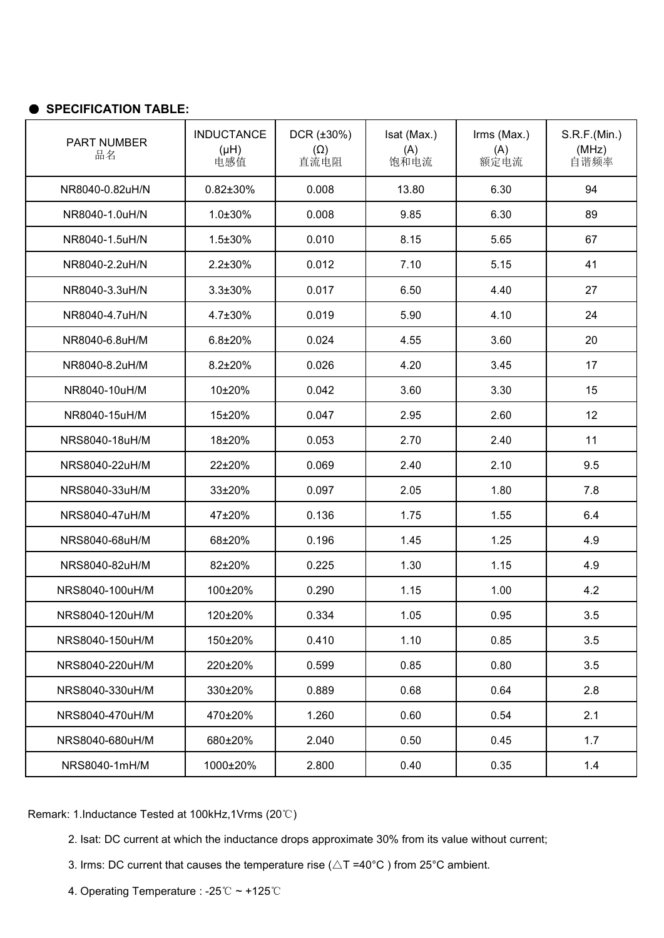| PART NUMBER<br>品名 | <b>INDUCTANCE</b><br>(Hu)<br>电感值 | $DCR$ ( $\pm 30\%$ )<br>$(\Omega)$<br>直流电阻 | Isat (Max.)<br>(A)<br>饱和电流 | Irms (Max.)<br>(A)<br>额定电流 | S.R.F.(Min.)<br>(MHz)<br>自谐频率 |  |  |
|-------------------|----------------------------------|--------------------------------------------|----------------------------|----------------------------|-------------------------------|--|--|
| NR8040-0.82uH/N   | $0.82 \pm 30\%$                  | 0.008                                      | 13.80                      | 6.30                       | 94                            |  |  |
| NR8040-1.0uH/N    | $1.0 \pm 30\%$                   | 0.008                                      | 9.85                       | 6.30                       | 89                            |  |  |
| NR8040-1.5uH/N    | $1.5 \pm 30\%$                   | 0.010                                      | 8.15                       | 5.65                       | 67                            |  |  |
| NR8040-2.2uH/N    | $2.2 \pm 30\%$                   | 0.012                                      | 7.10                       | 5.15                       | 41                            |  |  |
| NR8040-3.3uH/N    | $3.3 \pm 30\%$                   | 0.017                                      | 6.50                       | 4.40                       | 27                            |  |  |
| NR8040-4.7uH/N    | $4.7 \pm 30\%$                   | 0.019                                      | 5.90                       | 4.10                       | 24                            |  |  |
| NR8040-6.8uH/M    | $6.8 + 20%$                      | 0.024                                      | 4.55                       | 3.60                       | 20                            |  |  |
| NR8040-8.2uH/M    | $8.2 \pm 20\%$                   | 0.026                                      | 4.20                       | 3.45                       | 17                            |  |  |
| NR8040-10uH/M     | 10±20%                           | 0.042<br>3.60                              |                            |                            | 15                            |  |  |
| NR8040-15uH/M     | 15±20%                           | 0.047                                      | 2.95                       | 2.60                       | 12                            |  |  |
| NRS8040-18uH/M    | 18±20%                           | 0.053                                      | 2.70                       | 2.40                       | 11                            |  |  |
| NRS8040-22uH/M    | 22±20%                           | 0.069                                      | 2.40                       | 2.10                       | 9.5                           |  |  |
| NRS8040-33uH/M    | 33±20%                           | 0.097                                      | 2.05                       | 1.80                       | 7.8                           |  |  |
| NRS8040-47uH/M    | 47±20%                           | 0.136                                      | 1.75                       | 1.55                       | 6.4                           |  |  |
| NRS8040-68uH/M    | 68±20%                           | 0.196                                      | 1.45                       | 1.25                       | 4.9                           |  |  |
| NRS8040-82uH/M    | 82±20%                           | 0.225                                      | 1.30                       | 1.15                       | 4.9                           |  |  |
| NRS8040-100uH/M   | 100±20%                          | 0.290                                      | 1.15                       | 1.00                       | 4.2                           |  |  |
| NRS8040-120uH/M   | 120±20%                          | 0.334                                      | 1.05                       | 0.95                       | 3.5                           |  |  |
| NRS8040-150uH/M   | 150±20%                          | 0.410                                      | 1.10                       | 0.85                       | 3.5                           |  |  |
| NRS8040-220uH/M   | 220±20%                          | 0.599                                      | 0.85                       | 0.80                       | 3.5                           |  |  |
| NRS8040-330uH/M   | 330±20%                          | 0.889                                      | 0.68                       | 0.64                       | 2.8                           |  |  |
| NRS8040-470uH/M   | 470±20%                          | 1.260                                      | 0.60                       | 0.54                       | 2.1                           |  |  |
| NRS8040-680uH/M   | 680±20%                          | 2.040                                      | 0.50                       | 0.45                       | 1.7                           |  |  |
| NRS8040-1mH/M     | 1000±20%                         | 2.800                                      | 0.40                       | 0.35                       | 1.4                           |  |  |

- 2. Isat: DC current at which the inductance drops approximate 30% from its value without current;
- 3. Irms: DC current that causes the temperature rise ( $\triangle T = 40^{\circ}$ C) from 25°C ambient.
- 4. Operating Temperature : -25℃ ~ +125℃